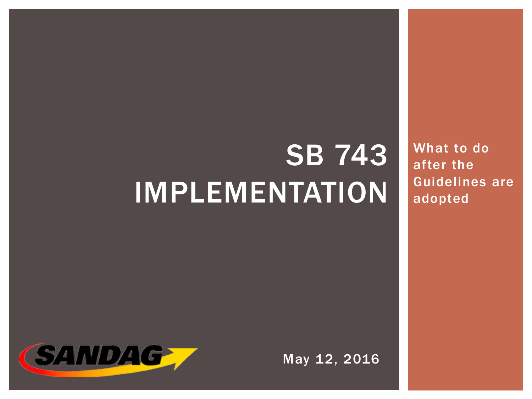# SB 743 IMPLEMENTATION

What to do after the Guidelines are adopted



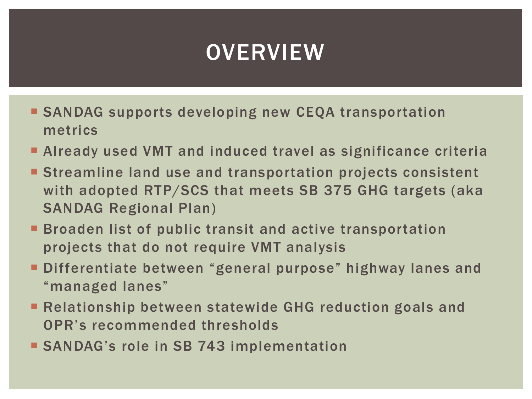#### **OVERVIEW**

- **SANDAG** supports developing new CEQA transportation metrics
- Already used VMT and induced travel as significance criteria
- Streamline land use and transportation projects consistent with adopted RTP/SCS that meets SB 375 GHG targets (aka SANDAG Regional Plan)
- **Broaden list of public transit and active transportation** projects that do not require VMT analysis
- Differentiate between "general purpose" highway lanes and "managed lanes"
- Relationship between statewide GHG reduction goals and OPR's recommended thresholds
- SANDAG's role in SB 743 implementation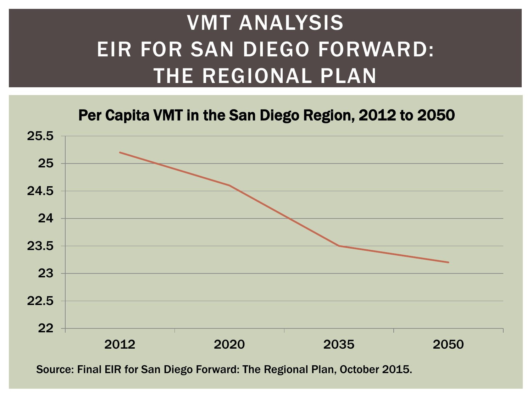#### VMT ANALYSIS EIR FOR SAN DIEGO FORWARD: THE REGIONAL PLAN

Per Capita VMT in the San Diego Region, 2012 to 2050

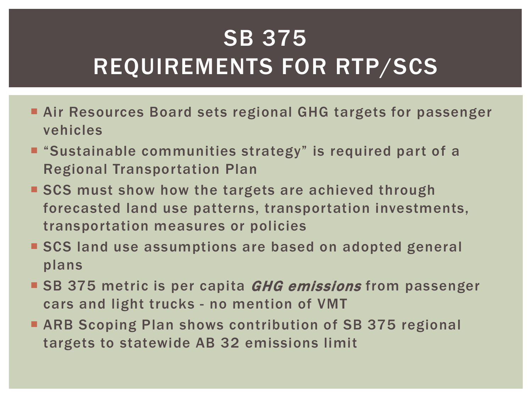# SB 375 REQUIREMENTS FOR RTP/SCS

- Air Resources Board sets regional GHG targets for passenger vehicles
- "Sustainable communities strategy" is required part of a Regional Transportation Plan
- SCS must show how the targets are achieved through forecasted land use patterns, transportation investments, transportation measures or policies
- **SCS land use assumptions are based on adopted general** plans
- SB 375 metric is per capita GHG emissions from passenger cars and light trucks - no mention of VMT
- **ARB Scoping Plan shows contribution of SB 375 regional** targets to statewide AB 32 emissions limit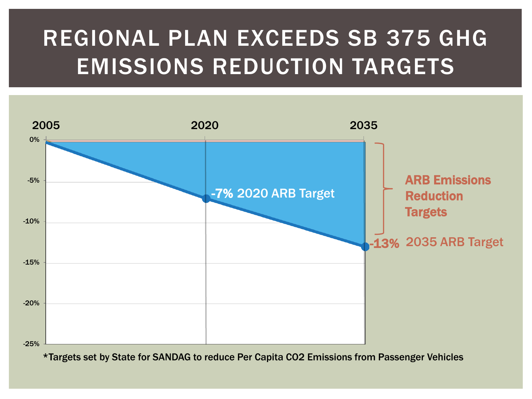# REGIONAL PLAN EXCEEDS SB 375 GHG EMISSIONS REDUCTION TARGETS



\*Targets set by State for SANDAG to reduce Per Capita CO2 Emissions from Passenger Vehicles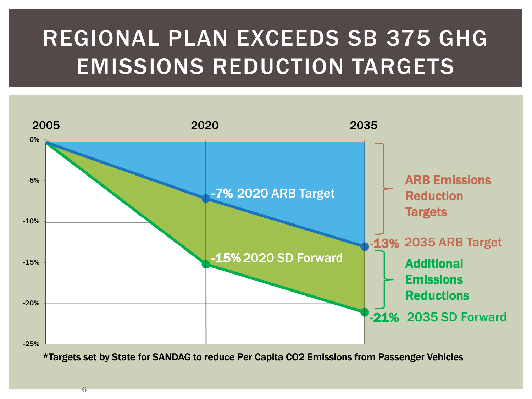# REGIONAL PLAN EXCEEDS SB 375 GHG EMISSIONS REDUCTION TARGETS



\*Targets set by State for SANDAG to reduce Per Capita CO2 Emissions from Passenger Vehicles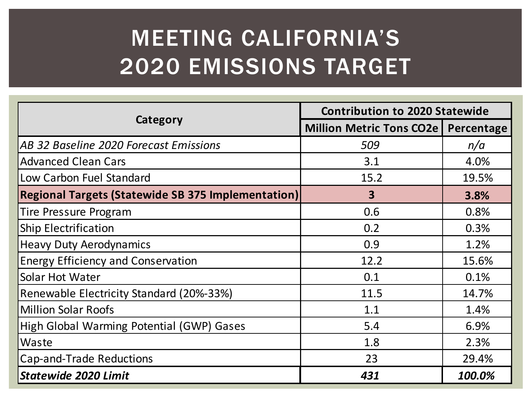# MEETING CALIFORNIA'S 2020 EMISSIONS TARGET

| Category                                                  | <b>Contribution to 2020 Statewide</b> |            |
|-----------------------------------------------------------|---------------------------------------|------------|
|                                                           | <b>Million Metric Tons CO2e</b>       | Percentage |
| AB 32 Baseline 2020 Forecast Emissions                    | 509                                   | n/a        |
| <b>Advanced Clean Cars</b>                                | 3.1                                   | 4.0%       |
| Low Carbon Fuel Standard                                  | 15.2                                  | 19.5%      |
| <b>Regional Targets (Statewide SB 375 Implementation)</b> | $\overline{\mathbf{3}}$               | 3.8%       |
| <b>Tire Pressure Program</b>                              | 0.6                                   | 0.8%       |
| <b>Ship Electrification</b>                               | 0.2                                   | 0.3%       |
| <b>Heavy Duty Aerodynamics</b>                            | 0.9                                   | 1.2%       |
| <b>Energy Efficiency and Conservation</b>                 | 12.2                                  | 15.6%      |
| <b>Solar Hot Water</b>                                    | 0.1                                   | 0.1%       |
| Renewable Electricity Standard (20%-33%)                  | 11.5                                  | 14.7%      |
| <b>Million Solar Roofs</b>                                | 1.1                                   | 1.4%       |
| High Global Warming Potential (GWP) Gases                 | 5.4                                   | 6.9%       |
| Waste                                                     | 1.8                                   | 2.3%       |
| Cap-and-Trade Reductions                                  | 23                                    | 29.4%      |
| <b>Statewide 2020 Limit</b>                               | 431                                   | 100.0%     |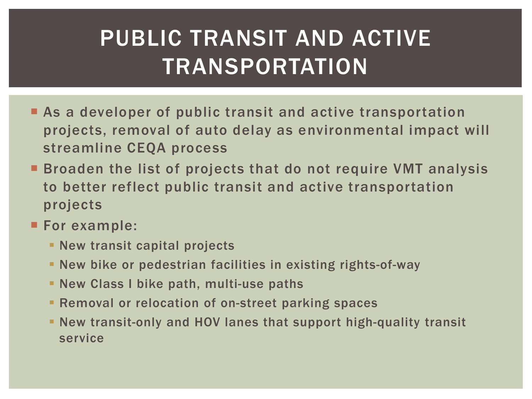# PUBLIC TRANSIT AND ACTIVE **TRANSPORTATION**

- **As a developer of public transit and active transportation** projects, removal of auto delay as environmental impact will streamline CEQA process
- **Broaden the list of projects that do not require VMT analysis** to better reflect public transit and active transportation projects
- **For example:** 
	- **New transit capital projects**
	- New bike or pedestrian facilities in existing rights-of-way
	- New Class I bike path, multi-use paths
	- **Removal or relocation of on-street parking spaces**
	- New transit-only and HOV lanes that support high-quality transit service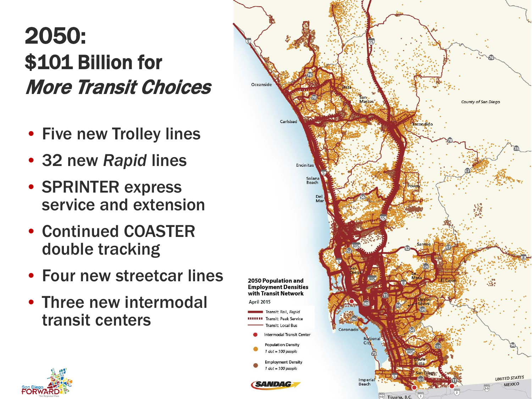## 2050: \$101 Billion for More Transit Choices

- Five new Trolley lines
- 32 new *Rapid* lines
- SPRINTER express service and extension
- Continued COASTER double tracking
- Four new streetcar lines
- Three new intermodal transit centers



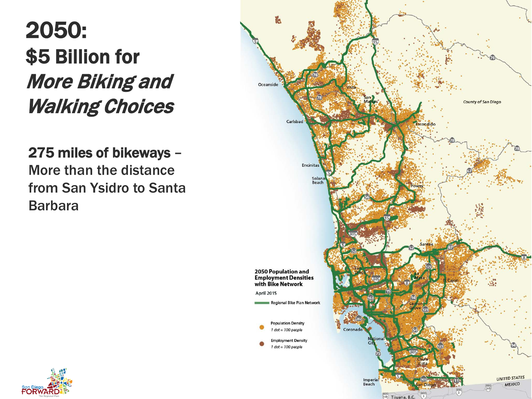#### 2050: \$5 Billion for More Biking and Walking Choices

275 miles of bikeways – More than the distance from San Ysidro to Santa Barbara



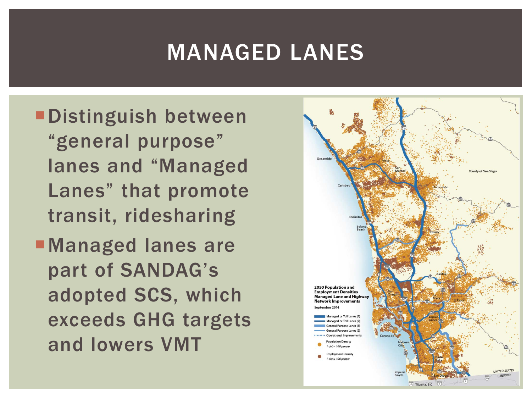#### MANAGED LANES

Distinguish between "general purpose" lanes and "Managed Lanes" that promote transit, ridesharing **Managed lanes are** part of SANDAG's adopted SCS, which exceeds GHG targets

and lowers VMT

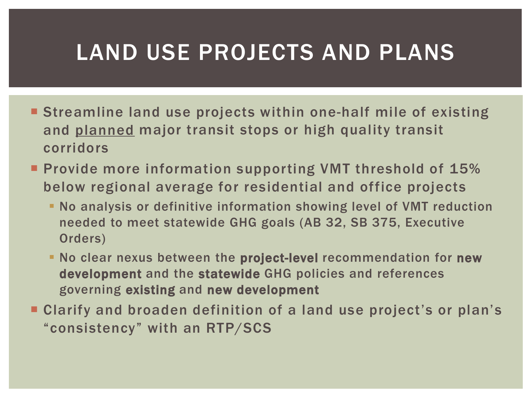#### LAND USE PROJECTS AND PLANS

- Streamline land use projects within one-half mile of existing and planned major transit stops or high quality transit corridors
- **Provide more information supporting VMT threshold of 15%** below regional average for residential and office projects
	- No analysis or definitive information showing level of VMT reduction needed to meet statewide GHG goals (AB 32, SB 375, Executive Orders)
	- **No clear nexus between the project-level recommendation for new** development and the statewide GHG policies and references governing existing and new development
- Clarify and broaden definition of a land use project's or plan's "consistency" with an RTP/SCS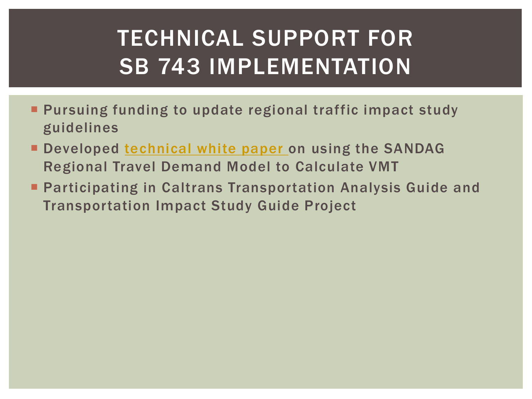# TECHNICAL SUPPORT FOR SB 743 IMPLEMENTATION

- **Pursuing funding to update regional traffic impact study** guidelines
- Developed [technical white paper](http://www.sandag.org/uploads/publicationid/publicationid_1795_16802.pdf) on using the SANDAG Regional Travel Demand Model to Calculate VMT
- Participating in Caltrans Transportation Analysis Guide and Transportation Impact Study Guide Project